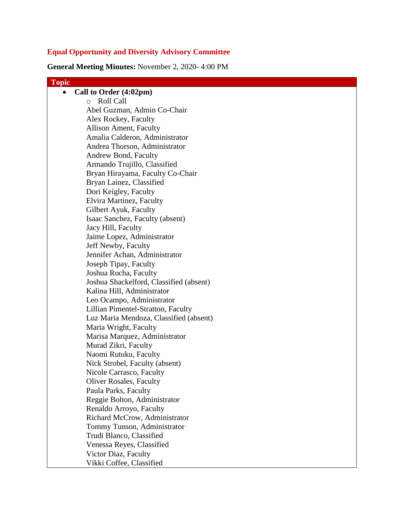# **Equal Opportunity and Diversity Advisory Committee**

**General Meeting Minutes:** November 2, 2020- 4:00 PM

| <b>Topic</b>                            |
|-----------------------------------------|
| Call to Order (4:02pm)                  |
| Roll Call<br>$\circ$                    |
| Abel Guzman, Admin Co-Chair             |
| Alex Rockey, Faculty                    |
| Allison Ament, Faculty                  |
| Amalia Calderon, Administrator          |
| Andrea Thorson, Administrator           |
| Andrew Bond, Faculty                    |
| Armando Trujillo, Classified            |
| Bryan Hirayama, Faculty Co-Chair        |
| Bryan Lainez, Classified                |
| Dori Keigley, Faculty                   |
| Elvira Martinez, Faculty                |
| Gilbert Ayuk, Faculty                   |
| Isaac Sanchez, Faculty (absent)         |
| Jacy Hill, Faculty                      |
| Jaime Lopez, Administrator              |
| Jeff Newby, Faculty                     |
| Jennifer Achan, Administrator           |
| Joseph Tipay, Faculty                   |
| Joshua Rocha, Faculty                   |
| Joshua Shackelford, Classified (absent) |
| Kalina Hill, Administrator              |
| Leo Ocampo, Administrator               |
| Lillian Pimentel-Stratton, Faculty      |
| Luz Maria Mendoza, Classified (absent)  |
| Maria Wright, Faculty                   |
| Marisa Marquez, Administrator           |
| Murad Zikri, Faculty                    |
| Naomi Rutuku, Faculty                   |
| Nick Strobel, Faculty (absent)          |
| Nicole Carrasco, Faculty                |
| <b>Oliver Rosales, Faculty</b>          |
| Paula Parks, Faculty                    |
| Reggie Bolton, Administrator            |
| Renaldo Arroyo, Faculty                 |
| Richard McCrow, Administrator           |
| Tommy Tunson, Administrator             |
| Trudi Blanco, Classified                |
| Venessa Reyes, Classified               |
| Victor Diaz, Faculty                    |
| Vikki Coffee, Classified                |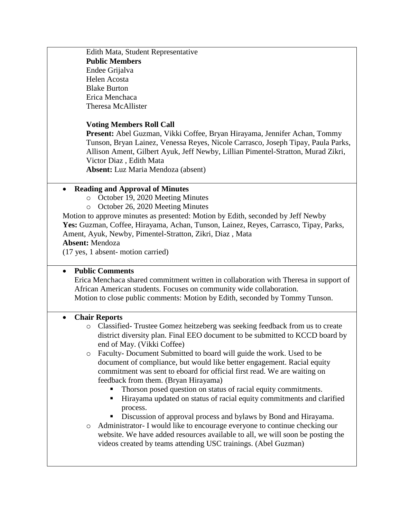Edith Mata, Student Representative **Public Members** Endee Grijalva Helen Acosta Blake Burton Erica Menchaca Theresa McAllister

#### **Voting Members Roll Call**

**Present:** Abel Guzman, Vikki Coffee, Bryan Hirayama, Jennifer Achan, Tommy Tunson, Bryan Lainez, Venessa Reyes, Nicole Carrasco, Joseph Tipay, Paula Parks, Allison Ament, Gilbert Ayuk, Jeff Newby, Lillian Pimentel-Stratton, Murad Zikri, Victor Diaz , Edith Mata **Absent:** Luz Maria Mendoza (absent)

**Reading and Approval of Minutes**

- o October 19, 2020 Meeting Minutes
- o October 26, 2020 Meeting Minutes

Motion to approve minutes as presented: Motion by Edith, seconded by Jeff Newby **Yes:** Guzman, Coffee, Hirayama, Achan, Tunson, Lainez, Reyes, Carrasco, Tipay, Parks, Ament, Ayuk, Newby, Pimentel-Stratton, Zikri, Diaz , Mata **Absent:** Mendoza

(17 yes, 1 absent- motion carried)

### **Public Comments**

Erica Menchaca shared commitment written in collaboration with Theresa in support of African American students. Focuses on community wide collaboration. Motion to close public comments: Motion by Edith, seconded by Tommy Tunson.

#### **Chair Reports**

- o Classified- Trustee Gomez heitzeberg was seeking feedback from us to create district diversity plan. Final EEO document to be submitted to KCCD board by end of May. (Vikki Coffee)
- o Faculty- Document Submitted to board will guide the work. Used to be document of compliance, but would like better engagement. Racial equity commitment was sent to eboard for official first read. We are waiting on feedback from them. (Bryan Hirayama)
	- Thorson posed question on status of racial equity commitments.
	- Hirayama updated on status of racial equity commitments and clarified process.
	- Discussion of approval process and bylaws by Bond and Hirayama.
- o Administrator- I would like to encourage everyone to continue checking our website. We have added resources available to all, we will soon be posting the videos created by teams attending USC trainings. (Abel Guzman)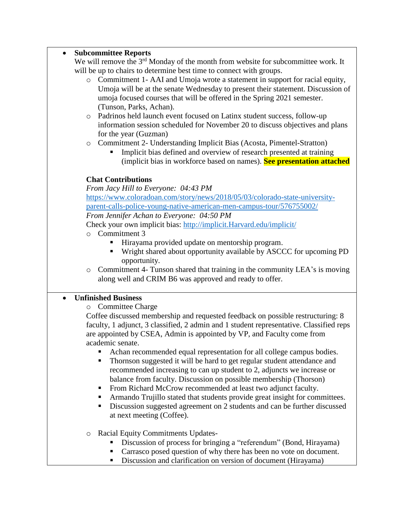## **Subcommittee Reports**

We will remove the 3<sup>rd</sup> Monday of the month from website for subcommittee work. It will be up to chairs to determine best time to connect with groups. o Commitment 1- AAI and Umoja wrote a statement in support for racial equity, Umoja will be at the senate Wednesday to present their statement. Discussion of umoja focused courses that will be offered in the Spring 2021 semester. (Tunson, Parks, Achan). o Padrinos held launch event focused on Latinx student success, follow-up information session scheduled for November 20 to discuss objectives and plans for the year (Guzman) o Commitment 2- Understanding Implicit Bias (Acosta, Pimentel-Stratton) Implicit bias defined and overview of research presented at training (implicit bias in workforce based on names). **See presentation attached Chat Contributions** *From Jacy Hill to Everyone: 04:43 PM* [https://www.coloradoan.com/story/news/2018/05/03/colorado-state-university](https://www.coloradoan.com/story/news/2018/05/03/colorado-state-university-parent-calls-police-young-native-american-men-campus-tour/576755002/)[parent-calls-police-young-native-american-men-campus-tour/576755002/](https://www.coloradoan.com/story/news/2018/05/03/colorado-state-university-parent-calls-police-young-native-american-men-campus-tour/576755002/) *From Jennifer Achan to Everyone: 04:50 PM* Check your own implicit bias: [http://implicit.Harvard.edu/implicit/](http://implicit.harvard.edu/implicit/) o Commitment 3 Hirayama provided update on mentorship program. Wright shared about opportunity available by ASCCC for upcoming PD opportunity. o Commitment 4- Tunson shared that training in the community LEA's is moving along well and CRIM B6 was approved and ready to offer. **Unfinished Business** o Committee Charge Coffee discussed membership and requested feedback on possible restructuring: 8 faculty, 1 adjunct, 3 classified, 2 admin and 1 student representative. Classified reps are appointed by CSEA, Admin is appointed by VP, and Faculty come from academic senate. Achan recommended equal representation for all college campus bodies. **Thornson suggested it will be hard to get regular student attendance and** recommended increasing to can up student to 2, adjuncts we increase or balance from faculty. Discussion on possible membership (Thorson) From Richard McCrow recommended at least two adjunct faculty. Armando Trujillo stated that students provide great insight for committees. Discussion suggested agreement on 2 students and can be further discussed at next meeting (Coffee). o Racial Equity Commitments Updates- Discussion of process for bringing a "referendum" (Bond, Hirayama) Carrasco posed question of why there has been no vote on document.

Discussion and clarification on version of document (Hirayama)